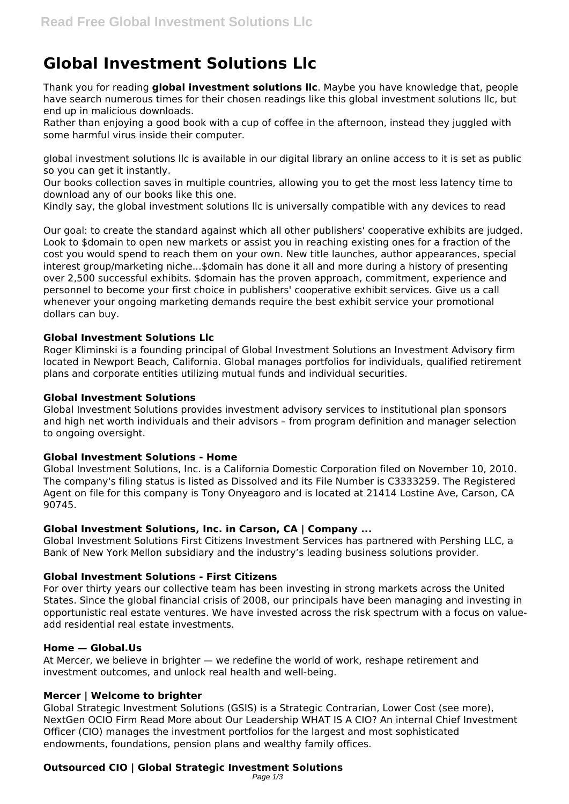# **Global Investment Solutions Llc**

Thank you for reading **global investment solutions llc**. Maybe you have knowledge that, people have search numerous times for their chosen readings like this global investment solutions llc, but end up in malicious downloads.

Rather than enjoying a good book with a cup of coffee in the afternoon, instead they juggled with some harmful virus inside their computer.

global investment solutions llc is available in our digital library an online access to it is set as public so you can get it instantly.

Our books collection saves in multiple countries, allowing you to get the most less latency time to download any of our books like this one.

Kindly say, the global investment solutions llc is universally compatible with any devices to read

Our goal: to create the standard against which all other publishers' cooperative exhibits are judged. Look to \$domain to open new markets or assist you in reaching existing ones for a fraction of the cost you would spend to reach them on your own. New title launches, author appearances, special interest group/marketing niche...\$domain has done it all and more during a history of presenting over 2,500 successful exhibits. \$domain has the proven approach, commitment, experience and personnel to become your first choice in publishers' cooperative exhibit services. Give us a call whenever your ongoing marketing demands require the best exhibit service your promotional dollars can buy.

## **Global Investment Solutions Llc**

Roger Kliminski is a founding principal of Global Investment Solutions an Investment Advisory firm located in Newport Beach, California. Global manages portfolios for individuals, qualified retirement plans and corporate entities utilizing mutual funds and individual securities.

## **Global Investment Solutions**

Global Investment Solutions provides investment advisory services to institutional plan sponsors and high net worth individuals and their advisors – from program definition and manager selection to ongoing oversight.

#### **Global Investment Solutions - Home**

Global Investment Solutions, Inc. is a California Domestic Corporation filed on November 10, 2010. The company's filing status is listed as Dissolved and its File Number is C3333259. The Registered Agent on file for this company is Tony Onyeagoro and is located at 21414 Lostine Ave, Carson, CA 90745.

# **Global Investment Solutions, Inc. in Carson, CA | Company ...**

Global Investment Solutions First Citizens Investment Services has partnered with Pershing LLC, a Bank of New York Mellon subsidiary and the industry's leading business solutions provider.

# **Global Investment Solutions - First Citizens**

For over thirty years our collective team has been investing in strong markets across the United States. Since the global financial crisis of 2008, our principals have been managing and investing in opportunistic real estate ventures. We have invested across the risk spectrum with a focus on valueadd residential real estate investments.

#### **Home — Global.Us**

At Mercer, we believe in brighter — we redefine the world of work, reshape retirement and investment outcomes, and unlock real health and well-being.

# **Mercer | Welcome to brighter**

Global Strategic Investment Solutions (GSIS) is a Strategic Contrarian, Lower Cost (see more), NextGen OCIO Firm Read More about Our Leadership WHAT IS A CIO? An internal Chief Investment Officer (CIO) manages the investment portfolios for the largest and most sophisticated endowments, foundations, pension plans and wealthy family offices.

# **Outsourced CIO | Global Strategic Investment Solutions**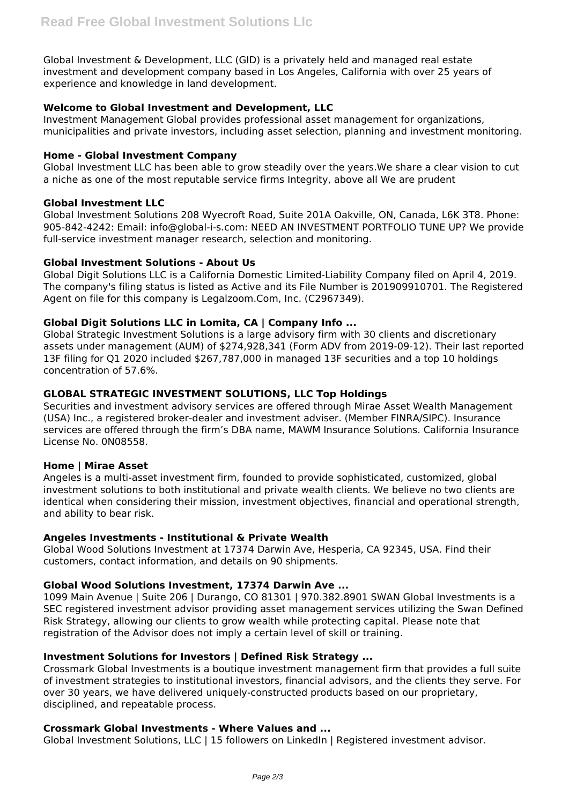Global Investment & Development, LLC (GID) is a privately held and managed real estate investment and development company based in Los Angeles, California with over 25 years of experience and knowledge in land development.

# **Welcome to Global Investment and Development, LLC**

Investment Management Global provides professional asset management for organizations, municipalities and private investors, including asset selection, planning and investment monitoring.

## **Home - Global Investment Company**

Global Investment LLC has been able to grow steadily over the years.We share a clear vision to cut a niche as one of the most reputable service firms Integrity, above all We are prudent

## **Global Investment LLC**

Global Investment Solutions 208 Wyecroft Road, Suite 201A Oakville, ON, Canada, L6K 3T8. Phone: 905-842-4242: Email: info@global-i-s.com: NEED AN INVESTMENT PORTFOLIO TUNE UP? We provide full-service investment manager research, selection and monitoring.

## **Global Investment Solutions - About Us**

Global Digit Solutions LLC is a California Domestic Limited-Liability Company filed on April 4, 2019. The company's filing status is listed as Active and its File Number is 201909910701. The Registered Agent on file for this company is Legalzoom.Com, Inc. (C2967349).

# **Global Digit Solutions LLC in Lomita, CA | Company Info ...**

Global Strategic Investment Solutions is a large advisory firm with 30 clients and discretionary assets under management (AUM) of \$274,928,341 (Form ADV from 2019-09-12). Their last reported 13F filing for Q1 2020 included \$267,787,000 in managed 13F securities and a top 10 holdings concentration of 57.6%.

# **GLOBAL STRATEGIC INVESTMENT SOLUTIONS, LLC Top Holdings**

Securities and investment advisory services are offered through Mirae Asset Wealth Management (USA) Inc., a registered broker-dealer and investment adviser. (Member FINRA/SIPC). Insurance services are offered through the firm's DBA name, MAWM Insurance Solutions. California Insurance License No. 0N08558.

#### **Home | Mirae Asset**

Angeles is a multi-asset investment firm, founded to provide sophisticated, customized, global investment solutions to both institutional and private wealth clients. We believe no two clients are identical when considering their mission, investment objectives, financial and operational strength, and ability to bear risk.

#### **Angeles Investments - Institutional & Private Wealth**

Global Wood Solutions Investment at 17374 Darwin Ave, Hesperia, CA 92345, USA. Find their customers, contact information, and details on 90 shipments.

# **Global Wood Solutions Investment, 17374 Darwin Ave ...**

1099 Main Avenue | Suite 206 | Durango, CO 81301 | 970.382.8901 SWAN Global Investments is a SEC registered investment advisor providing asset management services utilizing the Swan Defined Risk Strategy, allowing our clients to grow wealth while protecting capital. Please note that registration of the Advisor does not imply a certain level of skill or training.

# **Investment Solutions for Investors | Defined Risk Strategy ...**

Crossmark Global Investments is a boutique investment management firm that provides a full suite of investment strategies to institutional investors, financial advisors, and the clients they serve. For over 30 years, we have delivered uniquely-constructed products based on our proprietary, disciplined, and repeatable process.

#### **Crossmark Global Investments - Where Values and ...**

Global Investment Solutions, LLC | 15 followers on LinkedIn | Registered investment advisor.